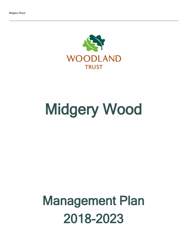

# Midgery Wood

## Management Plan 2018-2023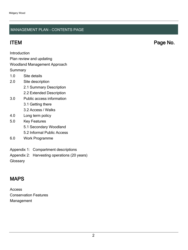### MANAGEMENT PLAN - CONTENTS PAGE

ITEM Page No.

Introduction

Plan review and updating

#### Woodland Management Approach

**Summary** 

- 1.0 Site details
- 2.0 Site description
	- 2.1 Summary Description
	- 2.2 Extended Description
- 3.0 Public access information
	- 3.1 Getting there
	- 3.2 Access / Walks
- 4.0 Long term policy
- 5.0 Key Features
	- 5.1 Secondary Woodland
	- 5.2 Informal Public Access
- 6.0 Work Programme
- Appendix 1: Compartment descriptions
- Appendix 2: Harvesting operations (20 years)

**Glossary** 

## MAPS

Access Conservation Features Management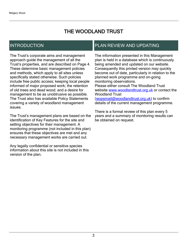## THE WOODLAND TRUST

## INTRODUCTION

The Trust's corporate aims and management approach guide the management of all the Trust's properties, and are described on Page 4. These determine basic management policies and methods, which apply to all sites unless specifically stated otherwise. Such policies include free public access; keeping local people informed of major proposed work; the retention of old trees and dead wood; and a desire for management to be as unobtrusive as possible. The Trust also has available Policy Statements covering a variety of woodland management issues.

The Trust's management plans are based on the identification of Key Features for the site and setting objectives for their management. A monitoring programme (not included in this plan) ensures that these objectives are met and any necessary management works are carried out.

Any legally confidential or sensitive species information about this site is not included in this version of the plan.

## PLAN REVIEW AND UPDATING

The information presented in this Management plan is held in a database which is continuously being amended and updated on our website. Consequently this printed version may quickly become out of date, particularly in relation to the planned work programme and on-going monitoring observations. Please either consult The Woodland Trust website [www.woodlandtrust.org.uk](http://www.woodlandtrust.org.uk/) or contact the Woodland Trust [\(wopsmail@woodlandtrust.org.uk](mailto:wopsmail@woodlandtrust.org.uk)) to confirm

details of the current management programme.

There is a formal review of this plan every 5 years and a summary of monitoring results can be obtained on request.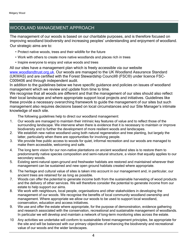## WOODLAND MANAGEMENT APPROACH

The management of our woods is based on our charitable purposes, and is therefore focused on improving woodland biodiversity and increasing peoples' understanding and enjoyment of woodland. Our strategic aims are to:

- Protect native woods, trees and their wildlife for the future
- Work with others to create more native woodlands and places rich in trees
- Inspire everyone to enjoy and value woods and trees

All our sites have a management plan which is freely accessible via our website [www.woodlandtrust.org.uk.](http://www.woodlandtrust.org.uk/) Our woods are managed to the UK Woodland Assurance Standard (UKWAS) and are certified with the Forest Stewardship Council® (FSC®) under licence FSC-C009406 and through independent audit.

In addition to the guidelines below we have specific guidance and policies on issues of woodland management which we review and update from time to time.

We recognise that all woods are different and that the management of our sites should also reflect their local landscape and where appropriate support local projects and initiatives. Guidelines like these provide a necessary overarching framework to guide the management of our sites but such management also requires decisions based on local circumstances and our Site Manager's intimate knowledge of each site.

The following guidelines help to direct our woodland management:

- 1. Our woods are managed to maintain their intrinsic key features of value and to reflect those of the surrounding landscape. We intervene when there is evidence that it is necessary to maintain or improve biodiversity and to further the development of more resilient woods and landscapes.
- 2. We establish new native woodland using both natural regeneration and tree planting, but largely the latter, particularly when there are opportunities for involving people.
- 3. We provide free public access to woods for quiet, informal recreation and our woods are managed to make them accessible, welcoming and safe.
- 4. The long term vision for our non-native plantations on ancient woodland sites is to restore them to predominantly native species composition and semi-natural structure, a vision that equally applies to our secondary woods.
- 5. Existing semi-natural open-ground and freshwater habitats are restored and maintained wherever their management can be sustained and new open ground habitats created where appropriate.
- 6. The heritage and cultural value of sites is taken into account in our management and, in particular, our ancient trees are retained for as long as possible.
- 7. Woods can offer the potential to generate income both from the sustainable harvesting of wood products and the delivery of other services. We will therefore consider the potential to generate income from our estate to help support our aims.
- 8. We work with neighbours, local people, organisations and other stakeholders in developing the management of our woods. We recognise the benefits of local community woodland ownership and management. Where appropriate we allow our woods to be used to support local woodland, conservation, education and access initiatives.
- 9. We use and offer the estate where appropriate, for the purpose of demonstration, evidence gathering and research associated with the conservation, recreational and sustainable management of woodlands. In particular we will develop and maintain a network of long-term monitoring sites across the estate.
- 10 Any activities we undertake will conform to sustainable forest management principles, be appropriate for the site and will be balanced with our primary objectives of enhancing the biodiversity and recreational value of our woods and the wider landscapes.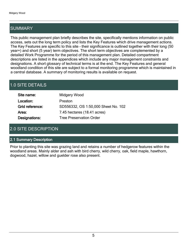## SUMMARY

This public management plan briefly describes the site, specifically mentions information on public access, sets out the long term policy and lists the Key Features which drive management actions. The Key Features are specific to this site - their significance is outlined together with their long (50 year+) and short (5 year) term objectives. The short term objectives are complemented by a detailed Work Programme for the period of this management plan. Detailed compartment descriptions are listed in the appendices which include any major management constraints and designations. A short glossary of technical terms is at the end. The Key Features and general woodland condition of this site are subject to a formal monitoring programme which is maintained in a central database. A summary of monitoring results is available on request.

## 1.0 SITE DETAILS

| Site name:      | Midgery Wood                        |
|-----------------|-------------------------------------|
| Location:       | Preston                             |
| Grid reference: | SD556332, OS 1:50,000 Sheet No. 102 |
| Area:           | 7.45 hectares (18.41 acres)         |
| Designations:   | <b>Tree Preservation Order</b>      |

## 2.0 SITE DESCRIPTION

#### 2.1 Summary Description

Prior to planting this site was grazing land and retains a number of hedgerow features within the woodland areas. Mainly alder and ash with bird cherry, wild cherry, oak, field maple, hawthorn, dogwood, hazel, willow and guelder rose also present.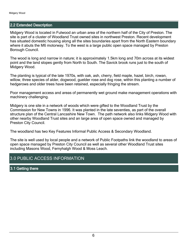#### 2.2 Extended Description

Midgery Wood is located in Fulwood an urban area of the northern half of the City of Preston. The site is part of a cluster of Woodland Trust owned sites in northwest Preston. Recent development has situated domestic housing along all the sites boundaries apart from the North Eastern boundary where it abuts the M6 motorway. To the west is a large public open space managed by Preston Borough Council.

The wood is long and narrow in nature; it is approximately 1.5km long and 70m across at its widest point and the land slopes gently from North to South. The Savick brook runs just to the south of Midgery Wood.

The planting is typical of the late 1970s, with oak, ash, cherry, field maple, hazel, birch, rowan, willow, three species of alder, dogwood, guelder rose and dog rose, within this planting a number of hedgerows and older trees have been retained, especially fringing the stream.

Poor management access and areas of permanently wet ground make management operations with machinery challenging.

Midgery is one site in a network of woods which were gifted to the Woodland Trust by the Commission for New Towns in 1996. It was planted in the late seventies, as part of the overall structure plan of the Central Lancashire New Town. The path network also links Midgery Wood with other nearby Woodland Trust sites and an large area of open space owned and managed by Preston City Council.

The woodland has two Key Features Informal Public Access & Secondary Woodland.

The site is well used by local people and a network of Public Footpaths link the woodland to areas of open space managed by Preston City Council as well as several other Woodland Trust sites including Masons Wood, Fernyhalgh Wood & Moss Leach.

## 3.0 PUBLIC ACCESS INFORMATION

3.1 Getting there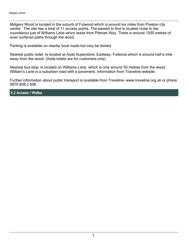Midgery Wood is located in the suburb of Fulwood which is around six miles from Preston city centre. The site has a total of 11 access points. The easiest to find is located close to the roundabout just of Williams Lane which leads from Pittman Way. There is around 1500 metres of even surfaced paths through the wood.

Parking is available on nearby local roads but may be limited.

Nearest public toilet: Is located at Asda Superstore, Eastway, Fulwood which is around half a mile away from the wood. (Asda toilets are for customers only)

Nearest bus stop: Is located on Williams Lane, which is only around 50 metres from the wood. William's Lane is a suburban road with a pavement. Information from Traveline website.

Further information about public transport is available from Traveline- www.traveline.org.uk or phone 0870 608 2 608

3.2 Access / Walks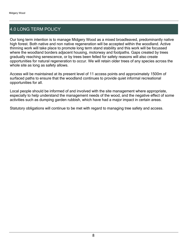## 4.0 LONG TERM POLICY

Our long term intention is to manage Midgery Wood as a mixed broadleaved, predominantly native high forest. Both native and non native regeneration will be accepted within the woodland. Active thinning work will take place to promote long term stand stability and this work will be focussed where the woodland borders adjacent housing, motorway and footpaths. Gaps created by trees gradually reaching senescence, or by trees been felled for safety reasons will also create opportunities for natural regeneration to occur. We will retain older trees of any species across the whole site as long as safety allows.

Access will be maintained at its present level of 11 access points and approximately 1500m of surfaced paths to ensure that the woodland continues to provide quiet informal recreational opportunities for all.

Local people should be informed of and involved with the site management where appropriate, especially to help understand the management needs of the wood, and the negative effect of some activities such as dumping garden rubbish, which have had a major impact in certain areas.

Statutory obligations will continue to be met with regard to managing tree safety and access.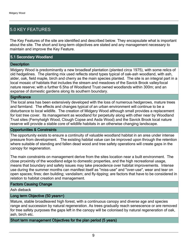## 5.0 KEY FEATURES

The Key Features of the site are identified and described below. They encapsulate what is important about the site. The short and long-term objectives are stated and any management necessary to maintain and improve the Key Feature.

#### 5.1 Secondary Woodland

#### **Description**

Midgery Wood is predominantly a new broadleaf plantation (planted circa 1975), with some relics of old hedgelines. The planting mix used reflects stand types typical of oak-ash woodland, with ash, alder, oak, field maple, birch and cherry as the main species planted. The site is an integral part in a local mosaic of habitats that includes the stream and meadows of the Savick Brook valley/local nature reserve; with a further 6.5ha of Woodland Trust owned woodlands within 300m; and an expanse of domestic gardens along its southern boundary.

#### **Significance**

The local area has been extensively developed with the loss of numerous hedgerows, mature trees and farmland. The effects and changes typical of an urban environment will continue to be a disturbance to local wildlife. The creation of Midgery Wood although small provides a replacement for lost tree cover. Its management as woodland for perpetuity along with other near by Woodland Trust sites (Fernyhalgh Wood, Clough Copse and Asda Wood) and the Savick Brook local nature reserve will provide a stable core of wildlife habitats in an otherwise changing landscape.

#### Opportunities & Constraints

The opportunity exists to ensure a continuity of valuable woodland habitat in an area under intense pressure from development. The existing habitat value can be improved upon through the retention where suitable of standing and fallen dead wood and tree safety operations will create gaps in the canopy for regeneration.

The main constraints on management derive from the sites location near a built environment. The close proximity of the woodland edge to domestic properties, and the high recreational usage, means that boundary and safety issues may take precedence over habitat improvements. Intense use during the summer months can manifest itself as "miss-use" and "over-use", wear and tear on open spaces; fires; den building; vandalism; and fly-tipping; are factors that have to be considered in relation to habitat creation and management.

#### Factors Causing Change

Ash dieback

#### Long term Objective (50 years+)

Mature, stable broadleaved high forest, with a continuous canopy and diverse age and species range and succession by natural regeneration. As trees gradually reach senescence or are removed for tree safety purposes the gaps left in the canopy will be colonised by natural regeneration of oak, ash, birch etc.

#### Short term management Objectives for the plan period (5 years)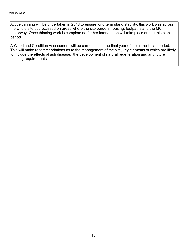Active thinning will be undertaken in 2018 to ensure long term stand stability, this work was across the whole site but focussed on areas where the site borders housing, footpaths and the M6 motorway. Once thinning work is complete no further intervention will take place during this plan period.

A Woodland Condition Assessment will be carried out in the final year of the current plan period. This will make recommendations as to the management of the site, key elements of which are likely to include the effects of ash disease, the development of natural regeneration and any future thinning requirements.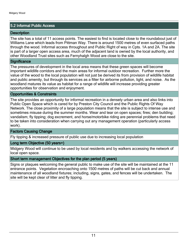#### 5.2 Informal Public Access

#### **Description**

The site has a total of 11 access points. The easiest to find is located close to the roundabout just of Williams Lane which leads from Pittman Way. There is around 1500 metres of even surfaced paths through the wood. Informal access throughout and Public Right of way in Cpts. 1A and 2A. The site is part of a larger open access area, much of the adjacent land is owned by the local authority, and other Woodland Trust sites such as Fernyhalgh Wood are close to the site.

#### **Significance**

The pressures of development in the local area means that these green spaces will become important wildlife corridors and the main areas for informal outdoor recreation. Further more the value of the wood to the local population will not just be derived its from provision of wildlife habitat and public amenity, but through its services as a filter for airborne pollution, light, and noise. As the woodland matures its value as habitat for a range of wildlife will increase providing greater opportunities for observation and enjoyment.

#### Opportunities & Constraints

The site provides an opportunity for informal recreation in a densely urban area and also links into Public Open Space which is cared for by Preston City Council and the Public Rights Of Way Network. The close proximity of a large population means that the site is subject to intense use and sometimes misuse during the summer months. Wear and tear on open spaces; fires; den building; vandalism; fly tipping; dog excrement, and horse/motorbike riding are perennial problems that need to be taken into consideration when carrying out any management operation (particularly access work).

#### Factors Causing Change

Fly tipping & increased pressure of public use due to increasing local population

#### Long term Objective (50 years+)

Midgery Wood will continue to be used by local residents and by walkers accessing the network of local open space.

#### Short term management Objectives for the plan period (5 years)

Signs or plaques welcoming the general public to make use of the site will be maintained at the 11 entrance points. Vegetation encroaching onto 1500 metres of paths will be cut back and annual maintenance of all woodland fixtures; including, signs, gates, and fences will be undertaken. The site will be kept clear of litter and fly tipping.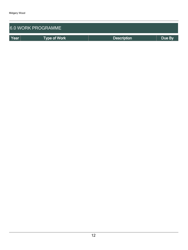| <b>6.0 WORK PROGRAMME</b> |              |                    |        |  |  |
|---------------------------|--------------|--------------------|--------|--|--|
| Year                      | Type of Work | <b>Description</b> | Due By |  |  |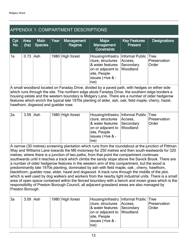## APPENDIX 1: COMPARTMENT DESCRIPTIONS

| Cpt<br>No. | Area<br>(ha) | <b>Main</b><br><b>Species</b> | Year | <b>Management</b><br>Regime | Major<br>Management<br><b>Constraints</b>                                                                                                                     | <b>Key Features</b><br><b>Present</b> | <b>Designations</b>   |
|------------|--------------|-------------------------------|------|-----------------------------|---------------------------------------------------------------------------------------------------------------------------------------------------------------|---------------------------------------|-----------------------|
| 1a         | $0.73$ Ash   |                               |      | 1980 High forest            | Housing/infrastru   Informal Public   Tree<br>cture, structures<br>& water features<br>on or adjacent to Woodland<br>site, People<br>issues (+tve & -<br>(tve | Access,<br>Secondary                  | Preservation<br>Order |

A small woodland located on Faraday Drive, divided by a paved path, with hedges on either side which runs through the site. The northern edge abuts Faraday Drive, the southern edge borders a housing estate and the western boundary is Midgery Lane. There are a number of older hedgerow features which enrich the typical late 1970s planting of alder, ash, oak, field maple, cherry, hazel, hawthorn, dogwood and guelder rose.

| 2a | $3.59$ Ash |  | 1980 High forest | Housing/infrastru   Informal Public   Tree<br>cture, structures   Access,<br>& water features Secondary<br>on or adjacent to Woodland<br>site, People | Preservation<br><b>Order</b> |
|----|------------|--|------------------|-------------------------------------------------------------------------------------------------------------------------------------------------------|------------------------------|
|    |            |  |                  | issues (+tve & -<br>(tve                                                                                                                              |                              |

A narrow (30 metres) screening plantation which runs from the roundabout at the junction of Pittman Way and Williams Lane towards the M6 motorway for 250 metres and then south-eastwards for 320 metres, where there is a junction of two paths, from that point the compartment continues southwards until it reaches a track which climbs the sandy slope above the Savick Brook. There are a number of older hedgerow features in the western arm of this compartment, but the wood is predominantly late 1970s planting, dominated by ash with field maple, oak , cherry, hawthorn, blackthorn, guelder rose, elder, hazel and dogwood. A track runs through the middle of the plot, which is well used by dog walkers and workers from the nearby light industrial units. There is a small area of open space contained within the fenced boundary with a bench and mown grass which is the responsibility of Preston Borough Council, all adjacent grassland areas are also managed by Preston Borough.

| 3a | $3.09$ Ash |  | 1980 High forest | Housing/infrastru   Informal Public   Tree<br>cture, structures   Access,<br>& water features Secondary<br>on or adjacent to Woodland | Preservation<br><b>Order</b> |
|----|------------|--|------------------|---------------------------------------------------------------------------------------------------------------------------------------|------------------------------|
|    |            |  |                  | site, People<br>lissues (+tve & -<br>tve)                                                                                             |                              |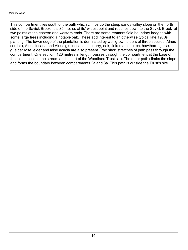This compartment lies south of the path which climbs up the steep sandy valley slope on the north side of the Savick Brook, it is 85 metres at its' widest point and reaches down to the Savick Brook at two points at the eastern and western ends. There are some remnant field boundary hedges with some large trees including a notable oak. These add interest to an otherwise typical late 1970s planting. The lower edge of the plantation is dominated by well grown alders of three species, Alnus cordata, Alnus incana and Alnus glutinosa, ash, cherry, oak, field maple, birch, hawthorn, gorse, guelder rose, elder and false acacia are also present. Two short stretches of path pass through the compartment. One section, 120 metres in length, passes through the compartment at the base of the slope close to the stream and is part of the Woodland Trust site. The other path climbs the slope and forms the boundary between compartments 2a and 3a. This path is outside the Trust's site.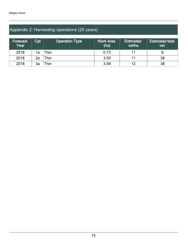## Appendix 2: Harvesting operations (20 years)

| Forecast<br>$\overline{\mathsf{Year}}$ $^{\mathsf{\scriptscriptstyle{\dagger}}}$ | Cpt | <b>Operation Type</b> | <b>Work Area</b><br>(ha) | <b>Estimated</b><br>vol/ha | <b>Estimated total</b><br>vol. |
|----------------------------------------------------------------------------------|-----|-----------------------|--------------------------|----------------------------|--------------------------------|
| 2018                                                                             | 1a  | `hin                  | 0.73                     |                            |                                |
| 2018                                                                             | 2a  | `hin                  | 3.59                     |                            | 38                             |
| 2018                                                                             | 3a  | `hin                  | 3.09                     | 12                         | 38                             |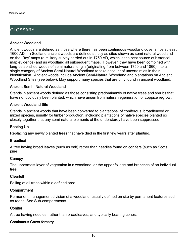## **GLOSSARY**

#### Ancient Woodland

Ancient woods are defined as those where there has been continuous woodland cover since at least 1600 AD. In Scotland ancient woods are defined strictly as sites shown as semi-natural woodland on the 'Roy' maps (a military survey carried out in 1750 AD, which is the best source of historical map evidence) and as woodland all subsequent maps. However, they have been combined with long-established woods of semi-natural origin (originating from between 1750 and 1860) into a single category of Ancient Semi-Natural Woodland to take account of uncertainties in their identification. Ancient woods include Ancient Semi-Natural Woodland and plantations on Ancient Woodland Sites (see below). May support many species that are only found in ancient woodland.

#### Ancient Semi - Natural Woodland

Stands in ancient woods defined as those consisting predominantly of native trees and shrubs that have not obviously been planted, which have arisen from natural regeneration or coppice regrowth.

#### Ancient Woodland Site

Stands in ancient woods that have been converted to plantations, of coniferous, broadleaved or mixed species, usually for timber production, including plantations of native species planted so closely together that any semi-natural elements of the understorey have been suppressed.

#### Beating Up

Replacing any newly planted trees that have died in the first few years after planting.

#### **Broadleaf**

A tree having broad leaves (such as oak) rather than needles found on conifers (such as Scots pine).

#### **Canopy**

The uppermost layer of vegetation in a woodland, or the upper foliage and branches of an individual tree.

#### Clearfell

Felling of all trees within a defined area.

#### **Compartment**

Permanent management division of a woodland, usually defined on site by permanent features such as roads. See Sub-compartments.

#### **Conifer**

A tree having needles, rather than broadleaves, and typically bearing cones.

#### Continuous Cover forestry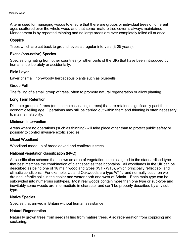A term used for managing woods to ensure that there are groups or individual trees of different ages scattered over the whole wood and that some mature tree cover is always maintained. Management is by repeated thinning and no large areas are ever completely felled all at once.

#### **Coppice**

Trees which are cut back to ground levels at regular intervals (3-25 years).

#### Exotic (non-native) Species

Species originating from other countries (or other parts of the UK) that have been introduced by humans, deliberately or accidentally.

#### Field Layer

Layer of small, non-woody herbaceous plants such as bluebells.

#### Group Fell

The felling of a small group of trees, often to promote natural regeneration or allow planting.

#### Long Term Retention

Discrete groups of trees (or in some cases single trees) that are retained significantly past their economic felling age. Operations may still be carried out within them and thinning is often necessary to maintain stability.

#### Minimum Intervention

Areas where no operations (such as thinning) will take place other than to protect public safety or possibly to control invasive exotic species.

#### Mixed Woodland

Woodland made up of broadleaved and coniferous trees.

#### National vegetation classification (NVC)

A classification scheme that allows an area of vegetation to be assigned to the standardised type that best matches the combination of plant species that it contains. All woodlands in the UK can be described as being one of 18 main woodland types (W1 - W18), which principally reflect soil and climatic conditions. For example, Upland Oakwoods are type W11, and normally occur on well drained infertile soils in the cooler and wetter north and west of Britain. Each main type can be subdivided into numerous subtypes. Most real woods contain more than one type or sub-type and inevitably some woods are intermediate in character and can't be properly described by any sub type.

#### Native Species

Species that arrived in Britain without human assistance.

#### Natural Regeneration

Naturally grown trees from seeds falling from mature trees. Also regeneration from coppicing and suckering.